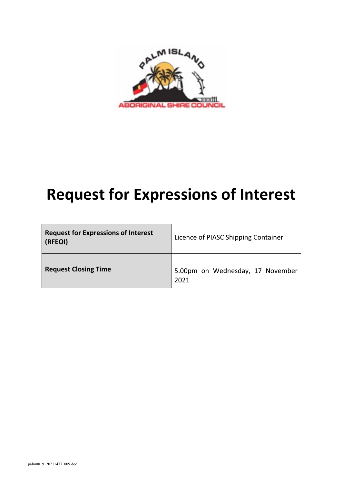

# **Request for Expressions of Interest**

| <b>Request for Expressions of Interest</b><br>(RFEOI) | Licence of PIASC Shipping Container      |
|-------------------------------------------------------|------------------------------------------|
| <b>Request Closing Time</b>                           | 5.00pm on Wednesday, 17 November<br>2021 |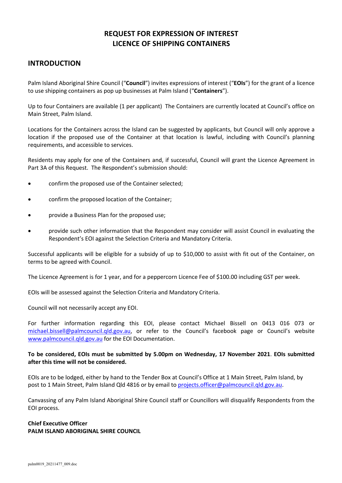# **REQUEST FOR EXPRESSION OF INTEREST LICENCE OF SHIPPING CONTAINERS**

## **INTRODUCTION**

Palm Island Aboriginal Shire Council ("**Council**") invites expressions of interest ("**EOIs**") for the grant of a licence to use shipping containers as pop up businesses at Palm Island ("**Containers**").

Up to four Containers are available (1 per applicant) The Containers are currently located at Council's office on Main Street, Palm Island.

Locations for the Containers across the Island can be suggested by applicants, but Council will only approve a location if the proposed use of the Container at that location is lawful, including with Council's planning requirements, and accessible to services.

Residents may apply for one of the Containers and, if successful, Council will grant the Licence Agreement in Part 3A of this Request. The Respondent's submission should:

- confirm the proposed use of the Container selected;
- confirm the proposed location of the Container;
- provide a Business Plan for the proposed use;
- provide such other information that the Respondent may consider will assist Council in evaluating the Respondent's EOI against the Selection Criteria and Mandatory Criteria.

Successful applicants will be eligible for a subsidy of up to \$10,000 to assist with fit out of the Container, on terms to be agreed with Council.

The Licence Agreement is for 1 year, and for a peppercorn Licence Fee of \$100.00 including GST per week.

EOIs will be assessed against the Selection Criteria and Mandatory Criteria.

Council will not necessarily accept any EOI.

For further information regarding this EOI, please contact Michael Bissell on 0413 016 073 or michael.bissell@palmcouncil.qld.gov.au, or refer to the Council's facebook page or Council's website www.palmcouncil.qld.gov.au for the EOI Documentation.

#### **To be considered, EOIs must be submitted by 5.00pm on Wednesday, 17 November 2021**. **EOIs submitted after this time will not be considered.**

EOIs are to be lodged, either by hand to the Tender Box at Council's Office at 1 Main Street, Palm Island, by post to 1 Main Street, Palm Island Qld 4816 or by email to projects.officer@palmcouncil.qld.gov.au.

Canvassing of any Palm Island Aboriginal Shire Council staff or Councillors will disqualify Respondents from the EOI process.

## **Chief Executive Officer PALM ISLAND ABORIGINAL SHIRE COUNCIL**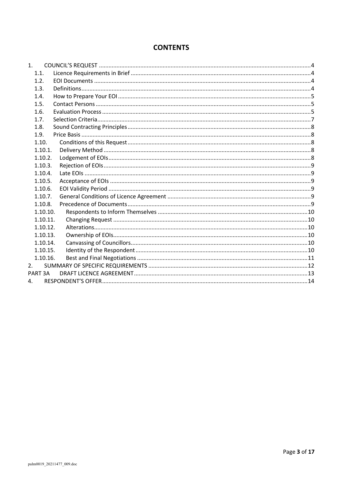## **CONTENTS**

| 1.                 |  |
|--------------------|--|
| 1.1.               |  |
| 1.2.               |  |
| 1.3.               |  |
| 1.4.               |  |
| 1.5.               |  |
| 1.6.               |  |
| 1.7.               |  |
| 1.8.               |  |
| 1.9.               |  |
| 1.10.              |  |
| 1.10.1.            |  |
| 1.10.2.            |  |
| 1.10.3.            |  |
| 1.10.4.            |  |
| 1.10.5.            |  |
| 1.10.6.            |  |
| 1.10.7.            |  |
| 1.10.8.            |  |
| 1.10.10.           |  |
| 1.10.11.           |  |
| 1.10.12.           |  |
| 1.10.13.           |  |
| 1.10.14.           |  |
| 1.10.15.           |  |
| 1.10.16.           |  |
| 2.                 |  |
| PART <sub>3A</sub> |  |
| 4.                 |  |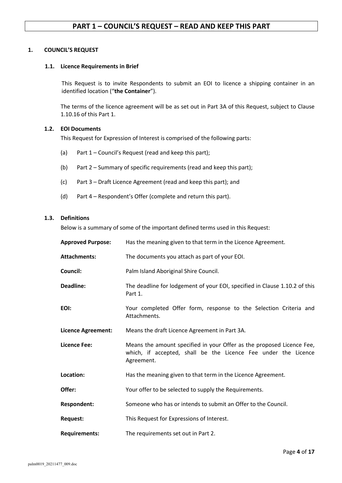#### **1. COUNCIL'S REQUEST**

#### **1.1. Licence Requirements in Brief**

This Request is to invite Respondents to submit an EOI to licence a shipping container in an identified location ("**the Container**").

The terms of the licence agreement will be as set out in Part 3A of this Request, subject to Clause 1.10.16 of this Part 1.

#### **1.2. EOI Documents**

This Request for Expression of Interest is comprised of the following parts:

- (a) Part 1 Council's Request (read and keep this part);
- (b) Part 2 Summary of specific requirements (read and keep this part);
- (c) Part 3 Draft Licence Agreement (read and keep this part); and
- (d) Part 4 Respondent's Offer (complete and return this part).

#### **1.3. Definitions**

Below is a summary of some of the important defined terms used in this Request:

| <b>Approved Purpose:</b> | Has the meaning given to that term in the Licence Agreement.                                                                                          |
|--------------------------|-------------------------------------------------------------------------------------------------------------------------------------------------------|
| <b>Attachments:</b>      | The documents you attach as part of your EOI.                                                                                                         |
| Council:                 | Palm Island Aboriginal Shire Council.                                                                                                                 |
| Deadline:                | The deadline for lodgement of your EOI, specified in Clause 1.10.2 of this<br>Part 1.                                                                 |
| EOI:                     | Your completed Offer form, response to the Selection Criteria and<br>Attachments.                                                                     |
| Licence Agreement:       | Means the draft Licence Agreement in Part 3A.                                                                                                         |
|                          |                                                                                                                                                       |
| <b>Licence Fee:</b>      | Means the amount specified in your Offer as the proposed Licence Fee,<br>which, if accepted, shall be the Licence Fee under the Licence<br>Agreement. |
| Location:                | Has the meaning given to that term in the Licence Agreement.                                                                                          |
| Offer:                   | Your offer to be selected to supply the Requirements.                                                                                                 |
| <b>Respondent:</b>       | Someone who has or intends to submit an Offer to the Council.                                                                                         |
| <b>Request:</b>          | This Request for Expressions of Interest.                                                                                                             |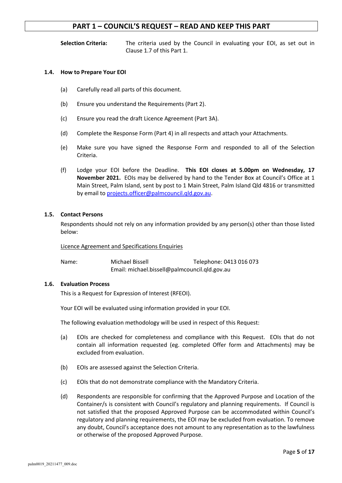**Selection Criteria:** The criteria used by the Council in evaluating your EOI, as set out in Clause 1.7 of this Part 1.

#### **1.4. How to Prepare Your EOI**

- (a) Carefully read all parts of this document.
- (b) Ensure you understand the Requirements (Part 2).
- (c) Ensure you read the draft Licence Agreement (Part 3A).
- (d) Complete the Response Form (Part 4) in all respects and attach your Attachments.
- (e) Make sure you have signed the Response Form and responded to all of the Selection Criteria.
- (f) Lodge your EOI before the Deadline. **This EOI closes at 5.00pm on Wednesday, 17 November 2021.** EOIs may be delivered by hand to the Tender Box at Council's Office at 1 Main Street, Palm Island, sent by post to 1 Main Street, Palm Island Qld 4816 or transmitted by email to projects.officer@palmcouncil.qld.gov.au.

#### **1.5. Contact Persons**

Respondents should not rely on any information provided by any person(s) other than those listed below:

#### Licence Agreement and Specifications Enquiries

Name: Michael Bissell Telephone: 0413 016 073 Email: michael.bissell@palmcouncil.qld.gov.au

#### **1.6. Evaluation Process**

This is a Request for Expression of Interest (RFEOI).

Your EOI will be evaluated using information provided in your EOI.

The following evaluation methodology will be used in respect of this Request:

- (a) EOIs are checked for completeness and compliance with this Request. EOIs that do not contain all information requested (eg. completed Offer form and Attachments) may be excluded from evaluation.
- (b) EOIs are assessed against the Selection Criteria.
- (c) EOIs that do not demonstrate compliance with the Mandatory Criteria.
- (d) Respondents are responsible for confirming that the Approved Purpose and Location of the Container/s is consistent with Council's regulatory and planning requirements. If Council is not satisfied that the proposed Approved Purpose can be accommodated within Council's regulatory and planning requirements, the EOI may be excluded from evaluation. To remove any doubt, Council's acceptance does not amount to any representation as to the lawfulness or otherwise of the proposed Approved Purpose.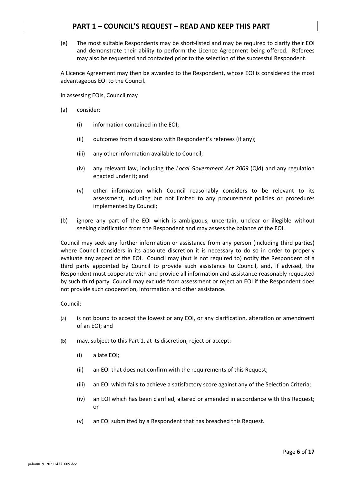(e) The most suitable Respondents may be short-listed and may be required to clarify their EOI and demonstrate their ability to perform the Licence Agreement being offered. Referees may also be requested and contacted prior to the selection of the successful Respondent.

A Licence Agreement may then be awarded to the Respondent, whose EOI is considered the most advantageous EOI to the Council.

In assessing EOIs, Council may

- (a) consider:
	- (i) information contained in the EOI;
	- (ii) outcomes from discussions with Respondent's referees (if any);
	- (iii) any other information available to Council;
	- (iv) any relevant law, including the *Local Government Act 2009* (Qld) and any regulation enacted under it; and
	- (v) other information which Council reasonably considers to be relevant to its assessment, including but not limited to any procurement policies or procedures implemented by Council;
- (b) ignore any part of the EOI which is ambiguous, uncertain, unclear or illegible without seeking clarification from the Respondent and may assess the balance of the EOI.

Council may seek any further information or assistance from any person (including third parties) where Council considers in its absolute discretion it is necessary to do so in order to properly evaluate any aspect of the EOI. Council may (but is not required to) notify the Respondent of a third party appointed by Council to provide such assistance to Council, and, if advised, the Respondent must cooperate with and provide all information and assistance reasonably requested by such third party. Council may exclude from assessment or reject an EOI if the Respondent does not provide such cooperation, information and other assistance.

Council:

- (a) is not bound to accept the lowest or any EOI, or any clarification, alteration or amendment of an EOI; and
- (b) may, subject to this Part 1, at its discretion, reject or accept:
	- (i) a late EOI;
	- (ii) an EOI that does not confirm with the requirements of this Request;
	- (iii) an EOI which fails to achieve a satisfactory score against any of the Selection Criteria;
	- (iv) an EOI which has been clarified, altered or amended in accordance with this Request; or
	- (v) an EOI submitted by a Respondent that has breached this Request.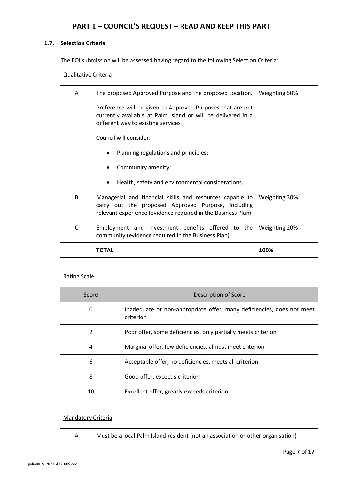## **1.7. Selection Criteria**

The EOI submission will be assessed having regard to the following Selection Criteria:

Qualitative Criteria

| A | The proposed Approved Purpose and the proposed Location.                                                                                                                       | Weighting 50% |
|---|--------------------------------------------------------------------------------------------------------------------------------------------------------------------------------|---------------|
|   | Preference will be given to Approved Purposes that are not<br>currently available at Palm Island or will be delivered in a<br>different way to existing services.              |               |
|   | Council will consider:                                                                                                                                                         |               |
|   | Planning regulations and principles;                                                                                                                                           |               |
|   | Community amenity;                                                                                                                                                             |               |
|   | Health, safety and environmental considerations.                                                                                                                               |               |
| B | Managerial and financial skills and resources capable to<br>carry out the proposed Approved Purpose, including<br>relevant experience (evidence required in the Business Plan) | Weighting 30% |
| C | Employment and investment benefits offered to the<br>community (evidence required in the Business Plan)                                                                        | Weighting 20% |
|   | <b>TOTAL</b>                                                                                                                                                                   | 100%          |

#### Rating Scale

| Score         | Description of Score                                                               |
|---------------|------------------------------------------------------------------------------------|
| 0             | Inadequate or non-appropriate offer, many deficiencies, does not meet<br>criterion |
| $\mathcal{P}$ | Poor offer, some deficiencies, only partially meets criterion                      |
| 4             | Marginal offer, few deficiencies, almost meet criterion                            |
| 6             | Acceptable offer, no deficiencies, meets all criterion                             |
| 8             | Good offer, exceeds criterion                                                      |
| 10            | Excellent offer, greatly exceeds criterion                                         |

#### Mandatory Criteria

A Must be a local Palm Island resident (not an association or other organisation)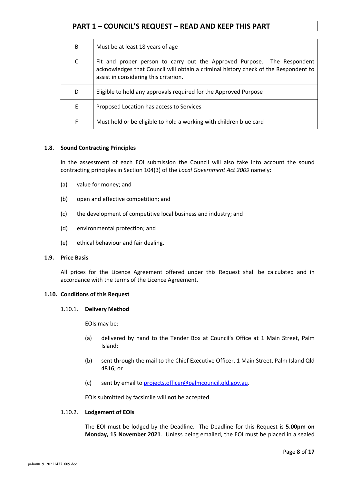| B | Must be at least 18 years of age                                                                                                                                                                        |
|---|---------------------------------------------------------------------------------------------------------------------------------------------------------------------------------------------------------|
| C | Fit and proper person to carry out the Approved Purpose. The Respondent<br>acknowledges that Council will obtain a criminal history check of the Respondent to<br>assist in considering this criterion. |
| D | Eligible to hold any approvals required for the Approved Purpose                                                                                                                                        |
| E | Proposed Location has access to Services                                                                                                                                                                |
| F | Must hold or be eligible to hold a working with children blue card                                                                                                                                      |

#### **1.8. Sound Contracting Principles**

In the assessment of each EOI submission the Council will also take into account the sound contracting principles in Section 104(3) of the *Local Government Act 2009* namely:

- (a) value for money; and
- (b) open and effective competition; and
- (c) the development of competitive local business and industry; and
- (d) environmental protection; and
- (e) ethical behaviour and fair dealing.

#### **1.9. Price Basis**

All prices for the Licence Agreement offered under this Request shall be calculated and in accordance with the terms of the Licence Agreement.

#### **1.10. Conditions of this Request**

#### 1.10.1. **Delivery Method**

EOIs may be:

- (a) delivered by hand to the Tender Box at Council's Office at 1 Main Street, Palm Island;
- (b) sent through the mail to the Chief Executive Officer, 1 Main Street, Palm Island Qld 4816; or
- (c) sent by email to projects.officer@palmcouncil.qld.gov.au.

EOIs submitted by facsimile will **not** be accepted.

#### 1.10.2. **Lodgement of EOIs**

The EOI must be lodged by the Deadline. The Deadline for this Request is **5.00pm on Monday, 15 November 2021**. Unless being emailed, the EOI must be placed in a sealed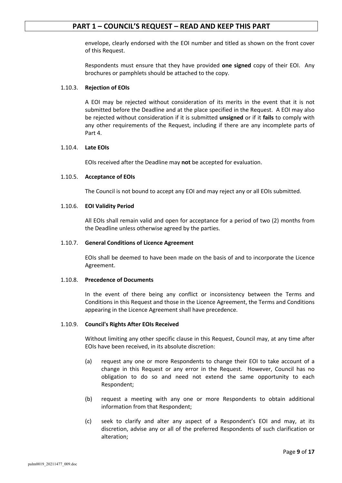envelope, clearly endorsed with the EOI number and titled as shown on the front cover of this Request.

Respondents must ensure that they have provided **one signed** copy of their EOI. Any brochures or pamphlets should be attached to the copy.

#### 1.10.3. **Rejection of EOIs**

A EOI may be rejected without consideration of its merits in the event that it is not submitted before the Deadline and at the place specified in the Request. A EOI may also be rejected without consideration if it is submitted **unsigned** or if it **fails** to comply with any other requirements of the Request, including if there are any incomplete parts of Part 4.

#### 1.10.4. **Late EOIs**

EOIs received after the Deadline may **not** be accepted for evaluation.

#### 1.10.5. **Acceptance of EOIs**

The Council is not bound to accept any EOI and may reject any or all EOIs submitted.

#### 1.10.6. **EOI Validity Period**

All EOIs shall remain valid and open for acceptance for a period of two (2) months from the Deadline unless otherwise agreed by the parties.

#### 1.10.7. **General Conditions of Licence Agreement**

EOIs shall be deemed to have been made on the basis of and to incorporate the Licence Agreement.

#### 1.10.8. **Precedence of Documents**

In the event of there being any conflict or inconsistency between the Terms and Conditions in this Request and those in the Licence Agreement, the Terms and Conditions appearing in the Licence Agreement shall have precedence.

#### 1.10.9. **Council's Rights After EOIs Received**

Without limiting any other specific clause in this Request, Council may, at any time after EOIs have been received, in its absolute discretion:

- (a) request any one or more Respondents to change their EOI to take account of a change in this Request or any error in the Request. However, Council has no obligation to do so and need not extend the same opportunity to each Respondent;
- (b) request a meeting with any one or more Respondents to obtain additional information from that Respondent;
- (c) seek to clarify and alter any aspect of a Respondent's EOI and may, at its discretion, advise any or all of the preferred Respondents of such clarification or alteration;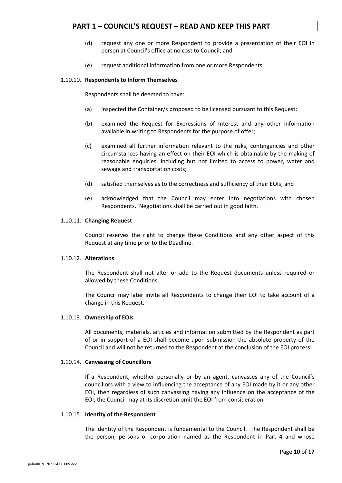- (d) request any one or more Respondent to provide a presentation of their EOI in person at Council's office at no cost to Council; and
- (e) request additional information from one or more Respondents.

#### 1.10.10. **Respondents to Inform Themselves**

Respondents shall be deemed to have:

- (a) inspected the Container/s proposed to be licensed pursuant to this Request;
- (b) examined the Request for Expressions of Interest and any other information available in writing to Respondents for the purpose of offer;
- (c) examined all further information relevant to the risks, contingencies and other circumstances having an effect on their EOI which is obtainable by the making of reasonable enquiries, including but not limited to access to power, water and sewage and transportation costs;
- (d) satisfied themselves as to the correctness and sufficiency of their EOIs; and
- (e) acknowledged that the Council may enter into negotiations with chosen Respondents. Negotiations shall be carried out in good faith.

#### 1.10.11. **Changing Request**

Council reserves the right to change these Conditions and any other aspect of this Request at any time prior to the Deadline.

#### 1.10.12. **Alterations**

The Respondent shall not alter or add to the Request documents unless required or allowed by these Conditions.

The Council may later invite all Respondents to change their EOI to take account of a change in this Request.

#### 1.10.13. **Ownership of EOIs**

All documents, materials, articles and information submitted by the Respondent as part of or in support of a EOI shall become upon submission the absolute property of the Council and will not be returned to the Respondent at the conclusion of the EOI process.

#### 1.10.14. **Canvassing of Councillors**

If a Respondent, whether personally or by an agent, canvasses any of the Council's councillors with a view to influencing the acceptance of any EOI made by it or any other EOI, then regardless of such canvassing having any influence on the acceptance of the EOI, the Council may at its discretion omit the EOI from consideration.

#### 1.10.15. **Identity of the Respondent**

The identity of the Respondent is fundamental to the Council. The Respondent shall be the person, persons or corporation named as the Respondent in Part 4 and whose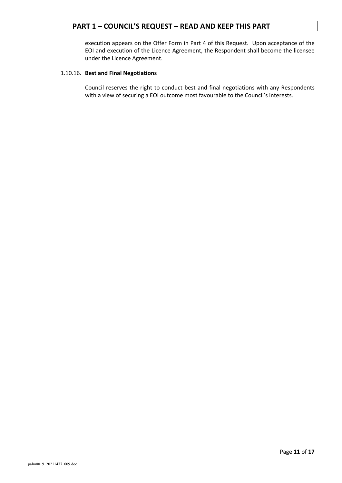execution appears on the Offer Form in Part 4 of this Request. Upon acceptance of the EOI and execution of the Licence Agreement, the Respondent shall become the licensee under the Licence Agreement.

#### 1.10.16. **Best and Final Negotiations**

Council reserves the right to conduct best and final negotiations with any Respondents with a view of securing a EOI outcome most favourable to the Council's interests.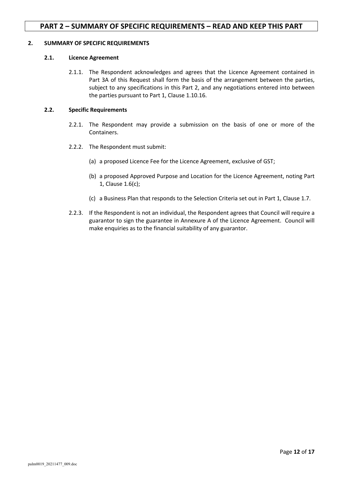## **PART 2 – SUMMARY OF SPECIFIC REQUIREMENTS – READ AND KEEP THIS PART**

#### **2. SUMMARY OF SPECIFIC REQUIREMENTS**

#### **2.1. Licence Agreement**

2.1.1. The Respondent acknowledges and agrees that the Licence Agreement contained in Part 3A of this Request shall form the basis of the arrangement between the parties, subject to any specifications in this Part 2, and any negotiations entered into between the parties pursuant to Part 1, Clause 1.10.16.

#### **2.2. Specific Requirements**

- 2.2.1. The Respondent may provide a submission on the basis of one or more of the Containers.
- 2.2.2. The Respondent must submit:
	- (a) a proposed Licence Fee for the Licence Agreement, exclusive of GST;
	- (b) a proposed Approved Purpose and Location for the Licence Agreement, noting Part 1, Clause 1.6(c);
	- (c) a Business Plan that responds to the Selection Criteria set out in Part 1, Clause 1.7.
- 2.2.3. If the Respondent is not an individual, the Respondent agrees that Council will require a guarantor to sign the guarantee in Annexure A of the Licence Agreement. Council will make enquiries as to the financial suitability of any guarantor.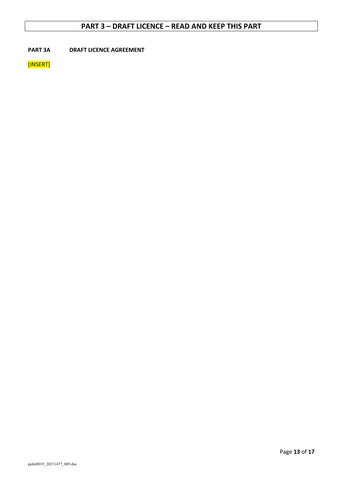## **PART 3 – DRAFT LICENCE – READ AND KEEP THIS PART**

**PART 3A DRAFT LICENCE AGREEMENT**

[INSERT]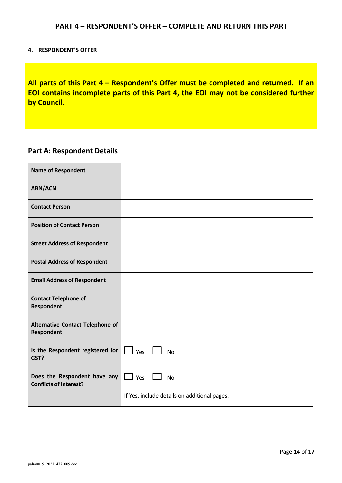#### **4. RESPONDENT'S OFFER**

**All parts of this Part 4 – Respondent's Offer must be completed and returned. If an EOI contains incomplete parts of this Part 4, the EOI may not be considered further by Council.**

## **Part A: Respondent Details**

| <b>Name of Respondent</b>                                     |                                              |
|---------------------------------------------------------------|----------------------------------------------|
| <b>ABN/ACN</b>                                                |                                              |
| <b>Contact Person</b>                                         |                                              |
| <b>Position of Contact Person</b>                             |                                              |
| <b>Street Address of Respondent</b>                           |                                              |
| <b>Postal Address of Respondent</b>                           |                                              |
| <b>Email Address of Respondent</b>                            |                                              |
| <b>Contact Telephone of</b><br><b>Respondent</b>              |                                              |
| Alternative Contact Telephone of<br>Respondent                |                                              |
| Is the Respondent registered for<br>GST?                      | $\Box$ Yes $\Box$ No                         |
| Does the Respondent have any<br><b>Conflicts of Interest?</b> | $\Box$ Yes $\Box$<br><b>No</b>               |
|                                                               | If Yes, include details on additional pages. |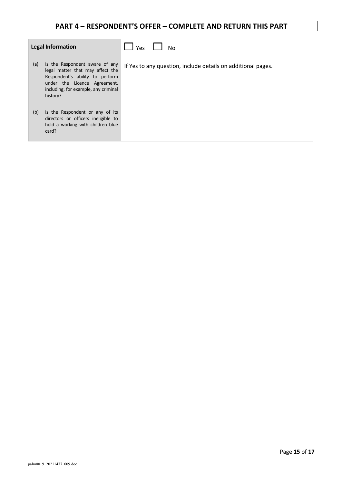| <b>Legal Information</b>                                                                                                                                                                         | Yes<br><b>No</b>                                             |
|--------------------------------------------------------------------------------------------------------------------------------------------------------------------------------------------------|--------------------------------------------------------------|
| (a)<br>Is the Respondent aware of any<br>legal matter that may affect the<br>Respondent's ability to perform<br>under the Licence Agreement,<br>including, for example, any criminal<br>history? | If Yes to any question, include details on additional pages. |
| Is the Respondent or any of its<br>(b)<br>directors or officers ineligible to<br>hold a working with children blue<br>card?                                                                      |                                                              |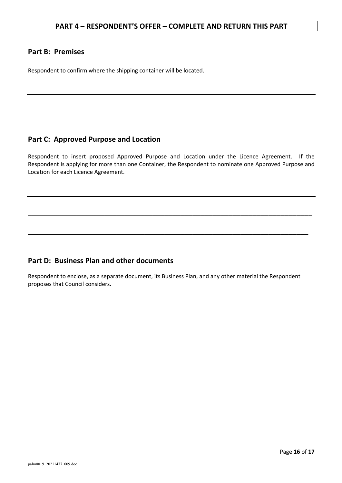## **Part B: Premises**

Respondent to confirm where the shipping container will be located.

## **Part C: Approved Purpose and Location**

Respondent to insert proposed Approved Purpose and Location under the Licence Agreement. If the Respondent is applying for more than one Container, the Respondent to nominate one Approved Purpose and Location for each Licence Agreement.

**\_\_\_\_\_\_\_\_\_\_\_\_\_\_\_\_\_\_\_\_\_\_\_\_\_\_\_\_\_\_\_\_\_\_\_\_\_\_\_\_\_\_\_\_\_\_\_\_\_\_\_\_\_\_\_\_\_\_\_\_\_\_\_\_\_\_\_\_\_\_\_**

**\_\_\_\_\_\_\_\_\_\_\_\_\_\_\_\_\_\_\_\_\_\_\_\_\_\_\_\_\_\_\_\_\_\_\_\_\_\_\_\_\_\_\_\_\_\_\_\_\_\_\_\_\_\_\_\_\_\_\_\_\_\_\_\_\_\_\_\_\_\_**

## **Part D: Business Plan and other documents**

Respondent to enclose, as a separate document, its Business Plan, and any other material the Respondent proposes that Council considers.